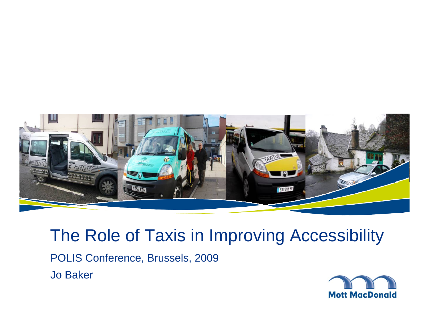

# The Role of Taxis in Improving Accessibility

POLIS Conference, Brussels, 2009 Jo Baker

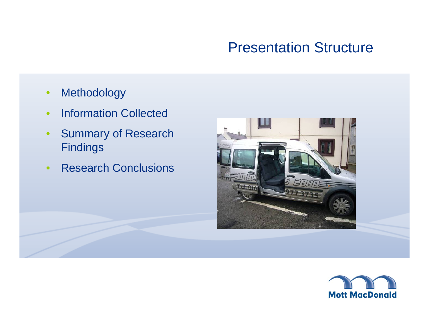#### Presentation Structure

- $\bullet$ Methodology
- •• Information Collected
- $\bullet$  Summary of Research Findings
- •Research Conclusions



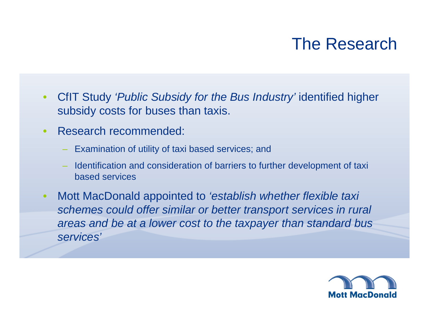# The Research

- $\bullet$  CfIT Study *'Public Subsidy for the Bus Industry'* identified higher subsidy costs for buses than taxis.
- $\bullet$  Research recommended:
	- Examination of utility of taxi based services; and
	- Identification and consideration of barriers to further development of taxi based services
- $\bullet$  Mott MacDonald appointed to *'establish whether flexible taxi schemes could offer similar or better transport services in rural areas and be at a lower cost to the taxpayer than standard bus services'*

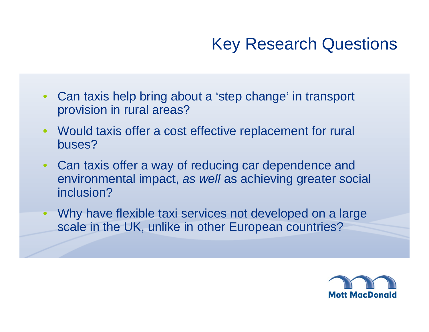# Key Research Questions

- $\bullet$  Can taxis help bring about a 'step change' in transport provision in rural areas?
- $\bullet$  Would taxis offer a cost effective replacement for rural buses?
- $\bullet$  Can taxis offer a way of reducing car dependence and environmental impact, *as well* as achieving greater social inclusion?
- $\bullet$  Why have flexible taxi services not developed on a large scale in the UK, unlike in other European countries?

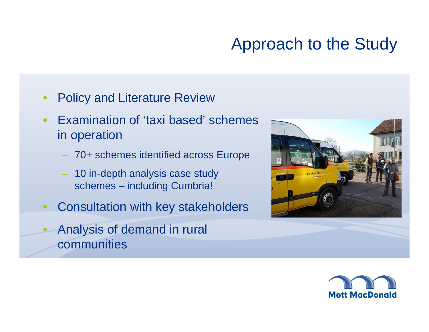# Approach to the Study

- $\bullet$ Policy and Literature Review
- $\bullet$  Examination of 'taxi based' schemes in operation
	- 70+ schemes identified across Europe
	- 10 in-depth analysis case study schemes – including Cumbria!
- $\bullet$ Consultation with key stakeholders
- $\bullet$  Analysis of demand in rural communities



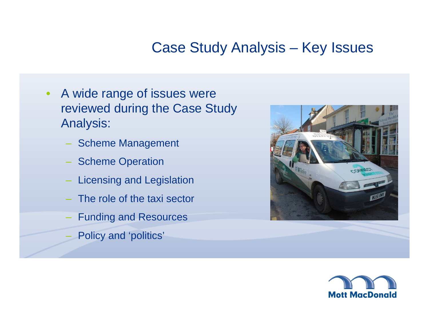#### Case Study Analysis – Key Issues

- $\bullet$  A wide range of issues were reviewed during the Case Study Analysis:
	- Scheme Management
	- Scheme Operation
	- Licensing and Legislation
	- The role of the taxi sector
	- Funding and Resources
	- Policy and 'politics'



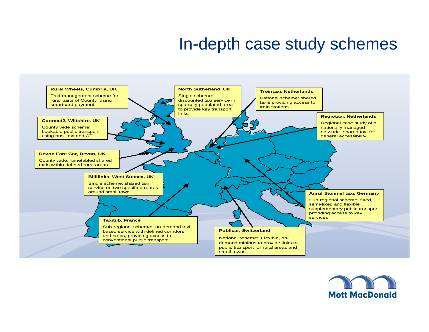## In-depth case study schemes



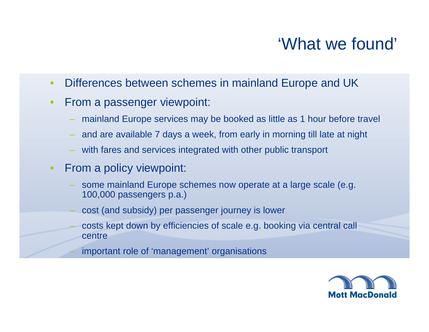# 'What we found'

- •Differences between schemes in mainland Europe and UK
- $\bullet$  From a passenger viewpoint:
	- mainland Europe services may be booked as little as 1 hour before travel
	- and are available 7 days a week, from early in morning till late at night
	- with fares and services integrated with other public transport
- $\bullet$  From a policy viewpoint:
	- some mainland Europe schemes now operate at a large scale (e.g. 100,000 passengers p.a.)
	- cost (and subsidy) per passenger journey is lower
	- costs kept down by efficiencies of scale e.g. booking via central call centre
	- important role of 'management' organisations

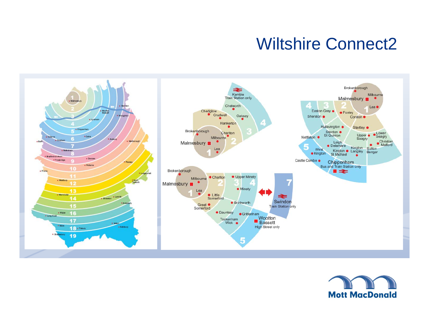# Wiltshire Connect2



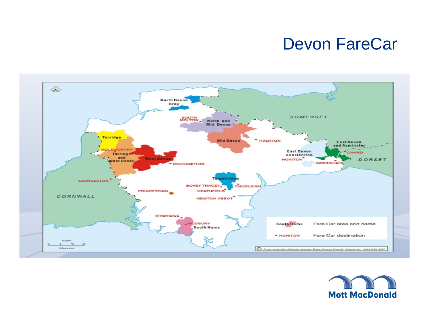# Devon FareCar



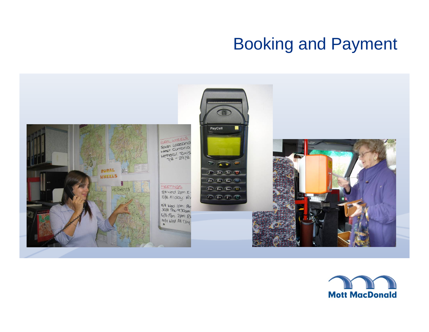# Booking and Payment



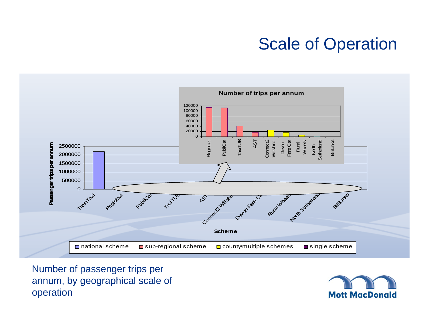# Scale of Operation



Number of passenger trips per annum, by geographical scale of operation

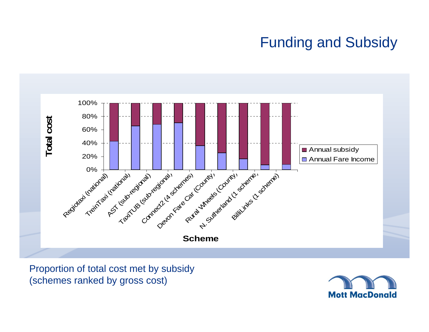## Funding and Subsidy



Proportion of total cost met by subsidy (schemes ranked by gross cost)

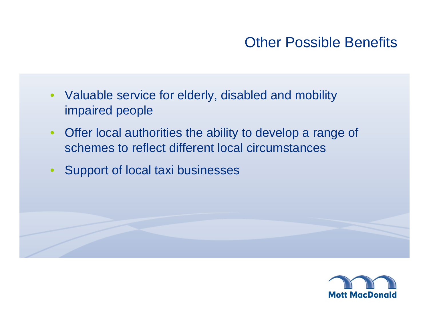### Other Possible Benefits

- Valuable service for elderly, disabled and mobility impaired people
- $\bullet$  Offer local authorities the ability to develop a range of schemes to reflect different local circumstances
- Support of local taxi businesses

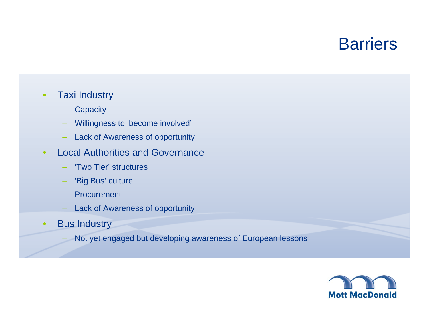# **Barriers**

#### •Taxi Industry

- **Capacity**
- Willingness to 'become involved'
- Lack of Awareness of opportunity
- • Local Authorities and Governance
	- 'Two Tier' structures
	- 'Big Bus' culture
	- **Procurement**
	- Lack of Awareness of opportunity
- • Bus Industry
	- Not yet engaged but developing awareness of European lessons

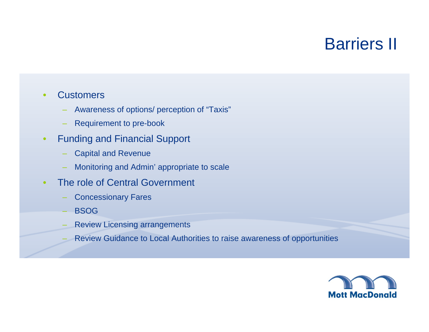# Barriers II

#### •Customers

- Awareness of options/ perception of "Taxis"
- Requirement to pre-book
- • Funding and Financial Support
	- Capital and Revenue
	- Monitoring and Admin' appropriate to scale
- • The role of Central Government
	- Concessionary Fares
	- **BSOG**
	- Review Licensing arrangements
	- Review Guidance to Local Authorities to raise awareness of opportunities

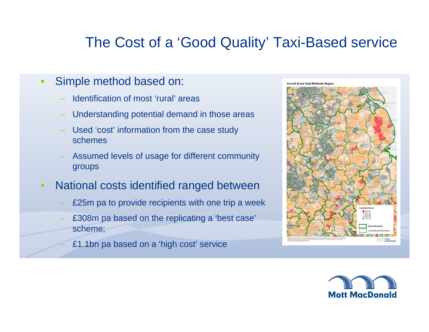#### The Cost of a 'Good Quality' Taxi-Based service

- • Simple method based on:
	- Identification of most 'rural' areas
	- Understanding potential demand in those areas
	- Used 'cost' information from the case study schemes
	- Assumed levels of usage for different community groups
- • National costs identified ranged between
	- £25m pa to provide recipients with one trip a week
	- £308m pa based on the replicating a 'best case' scheme;
		- £1.1bn pa based on a 'high cost' service



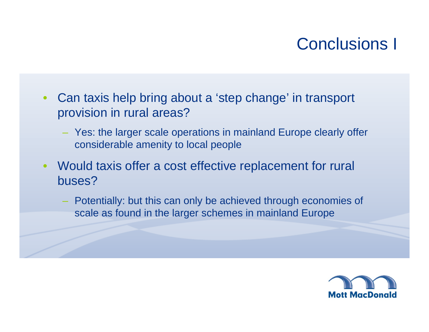# Conclusions I

- $\bullet$  Can taxis help bring about a 'step change' in transport provision in rural areas?
	- Yes: the larger scale operations in mainland Europe clearly offer considerable amenity to local people
- $\bullet$  Would taxis offer a cost effective replacement for rural buses?
	- Potentially: but this can only be achieved through economies of scale as found in the larger schemes in mainland Europe

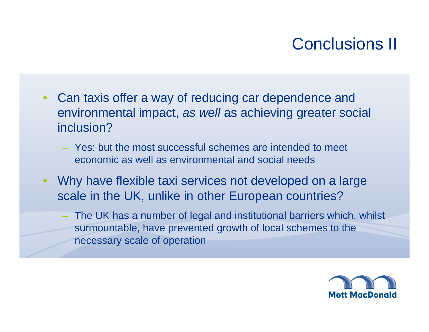# Conclusions II

- $\bullet$  Can taxis offer a way of reducing car dependence and environmental impact, *as well* as achieving greater social inclusion?
	- Yes: but the most successful schemes are intended to meet economic as well as environmental and social needs
- • Why have flexible taxi services not developed on a large scale in the UK, unlike in other European countries?
	- The UK has a number of legal and institutional barriers which, whilst surmountable, have prevented growth of local schemes to the necessary scale of operation

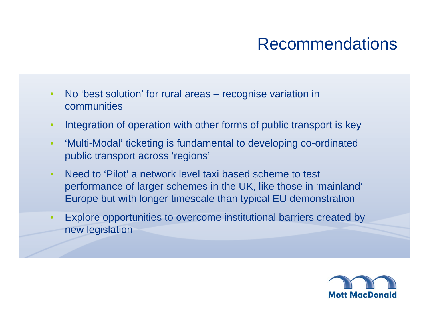# Recommendations

- • No 'best solution' for rural areas – recognise variation in communities
- $\bullet$ Integration of operation with other forms of public transport is key
- $\bullet$  'Multi-Modal' ticketing is fundamental to developing co-ordinated public transport across 'regions'
- $\bullet$  Need to 'Pilot' a network level taxi based scheme to test performance of larger schemes in the UK, like those in 'mainland' Europe but with longer timescale than typical EU demonstration
- • Explore opportunities to overcome institutional barriers created by new legislation

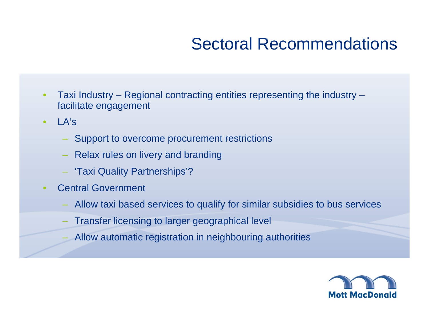# Sectoral Recommendations

- • Taxi Industry – Regional contracting entities representing the industry – facilitate engagement
- • LA's
	- Support to overcome procurement restrictions
	- Relax rules on livery and branding
	- 'Taxi Quality Partnerships'?
- • Central Government
	- Allow taxi based services to qualify for similar subsidies to bus services
	- Transfer licensing to larger geographical level
	- Allow automatic registration in neighbouring authorities

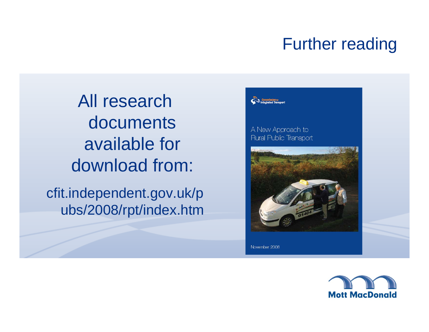# Further reading

All research documents available for download from:

cfit.independent.gov.uk/p ubs/2008/rpt/index.htm